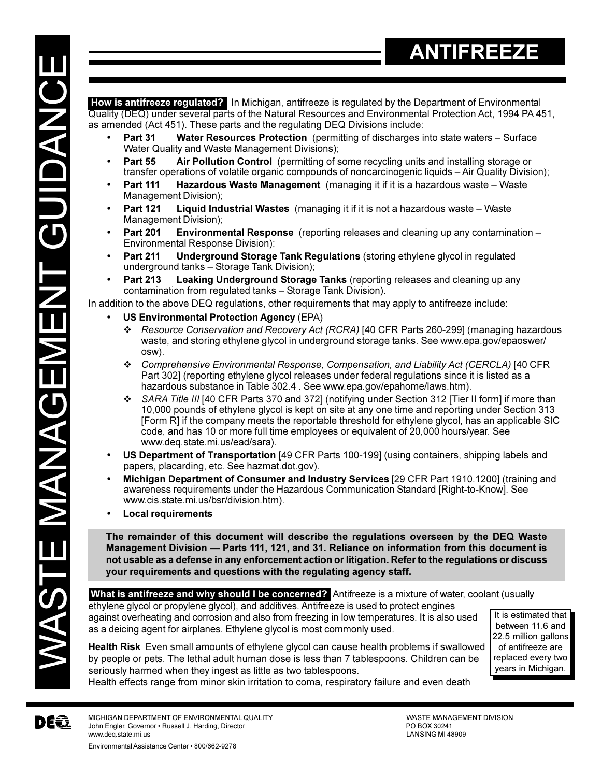DEQ

**How is antifreeze regulated?** In Michigan, antifreeze is regulated by the Department of Environmental Quality (DEQ) under several parts of the Natural Resources and Environmental Protection Act, 1994 PA 451, as amended (Act 451). These parts and the regulating DEQ Divisions include:

- **Part 31 Water Resources Protection** (permitting of discharges into state waters Surface Water Quality and Waste Management Divisions);
- **Part 55 Air Pollution Control** (permitting of some recycling units and installing storage or transfer operations of volatile organic compounds of noncarcinogenic liquids - Air Quality Division);
- **Part 111 Hazardous Waste Management** (managing it if it is a hazardous waste Waste Management Division);
- **Part 121 Liquid Industrial Wastes** (managing it if it is not a hazardous waste Waste Management Division);
- **Part 201 Environmental Response** (reporting releases and cleaning up any contamination Environmental Response Division);
- **Part 211 Underground Storage Tank Regulations** (storing ethylene glycol in regulated underground tanks - Storage Tank Division);
- **Part 213 Leaking Underground Storage Tanks** (reporting releases and cleaning up any contamination from regulated tanks - Storage Tank Division).

In addition to the above DEQ regulations, other requirements that may apply to antifreeze include:

- **US Environmental Protection Agency** (EPA)
	- v *Resource Conservation and Recovery Act (RCRA)* [40 CFR Parts 260-299] (managing hazardous waste, and storing ethylene glycol in underground storage tanks. See www.epa.gov/epaoswer/ osw).
	- v *Comprehensive Environmental Response, Compensation, and Liability Act (CERCLA)* [40 CFR Part 302] (reporting ethylene glycol releases under federal regulations since it is listed as a hazardous substance in Table 302.4 . See www.epa.gov/epahome/laws.htm).
	- **↑** SARA Title III [40 CFR Parts 370 and 372] (notifying under Section 312 [Tier II form] if more than 10,000 pounds of ethylene glycol is kept on site at any one time and reporting under Section 313 [Form R] if the company meets the reportable threshold for ethylene glycol, has an applicable SIC code, and has 10 or more full time employees or equivalent of 20,000 hours/year. See www.deq.state.mi.us/ead/sara).
- **US Department of Transportation** [49 CFR Parts 100-199] (using containers, shipping labels and papers, placarding, etc. See hazmat.dot.gov).
- **Michigan Department of Consumer and Industry Services** [29 CFR Part 1910.1200] (training and awareness requirements under the Hazardous Communication Standard [Right-to-Know]. See www.cis.state.mi.us/bsr/division.htm).
- **Local requirements**

**The remainder of this document will describe the regulations overseen by the DEQ Waste Management Division Parts 111, 121, and 31. Reliance on information from this document is not usable as a defense in any enforcement action or litigation. Refer to the regulations or discuss your requirements and questions with the regulating agency staff.**

**What is antifreeze and why should I be concerned?** Antifreeze is a mixture of water, coolant (usually

ethylene glycol or propylene glycol), and additives. Antifreeze is used to protect engines against overheating and corrosion and also from freezing in low temperatures. It is also used as a deicing agent for airplanes. Ethylene glycol is most commonly used.

It is estimated that between 11.6 and 22.5 million gallons of antifreeze are replaced every two years in Michigan.

**Health Risk** Even small amounts of ethylene glycol can cause health problems if swallowed by people or pets. The lethal adult human dose is less than 7 tablespoons. Children can be seriously harmed when they ingest as little as two tablespoons.

Health effects range from minor skin irritation to coma, respiratory failure and even death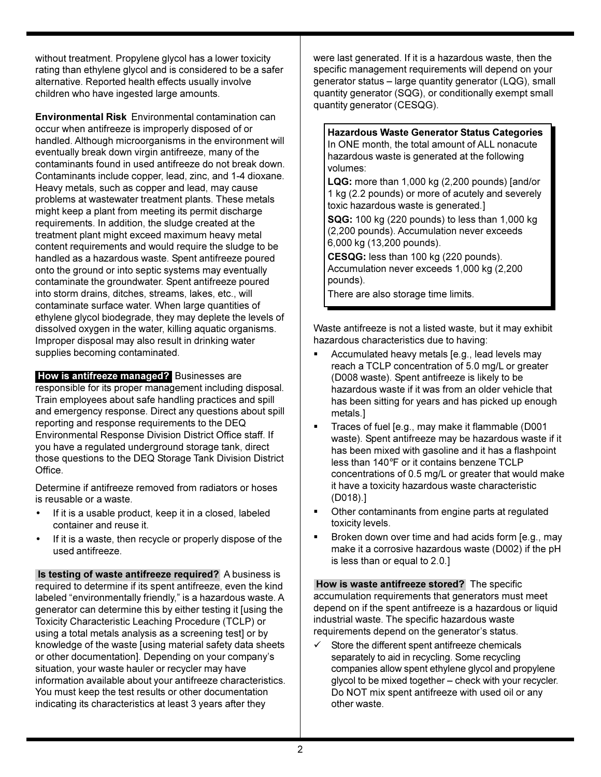without treatment. Propylene glycol has a lower toxicity rating than ethylene glycol and is considered to be a safer alternative. Reported health effects usually involve children who have ingested large amounts.

**Environmental Risk** Environmental contamination can occur when antifreeze is improperly disposed of or handled. Although microorganisms in the environment will eventually break down virgin antifreeze, many of the contaminants found in used antifreeze do not break down. Contaminants include copper, lead, zinc, and 1-4 dioxane. Heavy metals, such as copper and lead, may cause problems at wastewater treatment plants. These metals might keep a plant from meeting its permit discharge requirements. In addition, the sludge created at the treatment plant might exceed maximum heavy metal content requirements and would require the sludge to be handled as a hazardous waste. Spent antifreeze poured onto the ground or into septic systems may eventually contaminate the groundwater. Spent antifreeze poured into storm drains, ditches, streams, lakes, etc., will contaminate surface water. When large quantities of ethylene glycol biodegrade, they may deplete the levels of dissolved oxygen in the water, killing aquatic organisms. Improper disposal may also result in drinking water supplies becoming contaminated.

 **How is antifreeze managed?** Businesses are responsible for its proper management including disposal. Train employees about safe handling practices and spill and emergency response. Direct any questions about spill reporting and response requirements to the DEQ Environmental Response Division District Office staff. If you have a regulated underground storage tank, direct those questions to the DEQ Storage Tank Division District Office.

Determine if antifreeze removed from radiators or hoses is reusable or a waste.

- If it is a usable product, keep it in a closed, labeled container and reuse it.
- If it is a waste, then recycle or properly dispose of the used antifreeze.

 **Is testing of waste antifreeze required?** A business is required to determine if its spent antifreeze, even the kind labeled "environmentally friendly," is a hazardous waste. A generator can determine this by either testing it [using the Toxicity Characteristic Leaching Procedure (TCLP) or using a total metals analysis as a screening test] or by knowledge of the waste [using material safety data sheets or other documentation]. Depending on your company's situation, your waste hauler or recycler may have information available about your antifreeze characteristics. You must keep the test results or other documentation indicating its characteristics at least 3 years after they

were last generated. If it is a hazardous waste, then the specific management requirements will depend on your generator status - large quantity generator (LQG), small quantity generator (SQG), or conditionally exempt small quantity generator (CESQG).

**Hazardous Waste Generator Status Categories** In ONE month, the total amount of ALL nonacute hazardous waste is generated at the following volumes:

**LQG:** more than 1,000 kg (2,200 pounds) [and/or 1 kg (2.2 pounds) or more of acutely and severely toxic hazardous waste is generated.]

**SQG:** 100 kg (220 pounds) to less than 1,000 kg (2,200 pounds). Accumulation never exceeds 6,000 kg (13,200 pounds).

**CESQG:** less than 100 kg (220 pounds). Accumulation never exceeds 1,000 kg (2,200 pounds).

There are also storage time limits.

Waste antifreeze is not a listed waste, but it may exhibit hazardous characteristics due to having:

- Accumulated heavy metals [e.g., lead levels may reach a TCLP concentration of 5.0 mg/L or greater (D008 waste). Spent antifreeze is likely to be hazardous waste if it was from an older vehicle that has been sitting for years and has picked up enough metals.]
- § Traces of fuel [e.g., may make it flammable (D001 waste). Spent antifreeze may be hazardous waste if it has been mixed with gasoline and it has a flashpoint less than 140°F or it contains benzene TCLP concentrations of 0.5 mg/L or greater that would make it have a toxicity hazardous waste characteristic (D018).]
- Other contaminants from engine parts at regulated toxicity levels.
- Broken down over time and had acids form [e.g., may make it a corrosive hazardous waste (D002) if the pH is less than or equal to 2.0.]

 **How is waste antifreeze stored?** The specific accumulation requirements that generators must meet depend on if the spent antifreeze is a hazardous or liquid industrial waste. The specific hazardous waste requirements depend on the generator's status.

 $\checkmark$  Store the different spent antifreeze chemicals separately to aid in recycling. Some recycling companies allow spent ethylene glycol and propylene glycol to be mixed together – check with your recycler. Do NOT mix spent antifreeze with used oil or any other waste.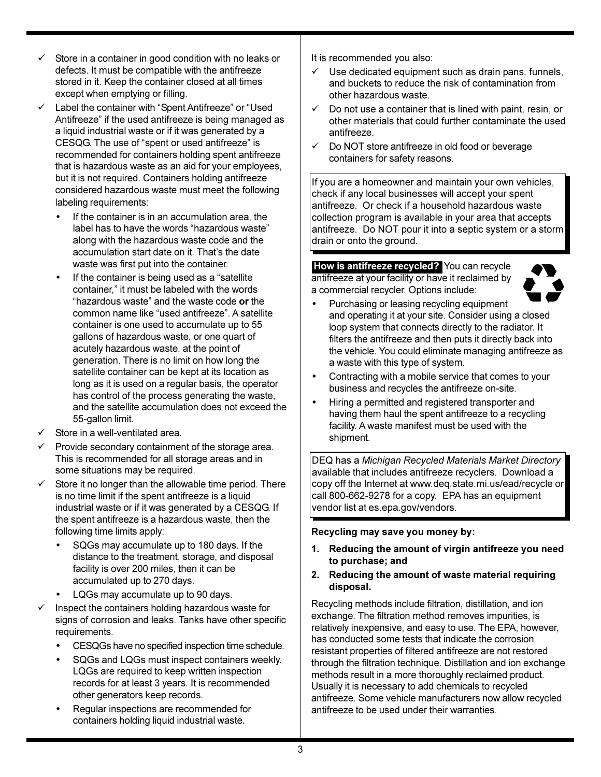- Store in a container in good condition with no leaks or defects. It must be compatible with the antifreeze stored in it. Keep the container closed at all times except when emptying or filling.
- Label the container with "Spent Antifreeze" or "Used Antifreeze" if the used antifreeze is being managed as a liquid industrial waste or if it was generated by a CESQG. The use of "spent or used antifreeze" is recommended for containers holding spent antifreeze that is hazardous waste as an aid for your employees, but it is not required. Containers holding antifreeze considered hazardous waste must meet the following labeling requirements:
	- If the container is in an accumulation area, the label has to have the words "hazardous waste" along with the hazardous waste code and the accumulation start date on it. That's the date waste was first put into the container.
	- If the container is being used as a "satellite" container," it must be labeled with the words "hazardous waste" and the waste code or the common name like "used antifreeze". A satellite container is one used to accumulate up to 55 gallons of hazardous waste, or one quart of acutely hazardous waste, at the point of generation. There is no limit on how long the satellite container can be kept at its location as long as it is used on a regular basis, the operator has control of the process generating the waste, and the satellite accumulation does not exceed the 55-gallon limit.
- Store in a well-ventilated area.
- Provide secondary containment of the storage area. This is recommended for all storage areas and in some situations may be required.
- Store it no longer than the allowable time period. There is no time limit if the spent antifreeze is a liquid industrial waste or if it was generated by a CESQG. If the spent antifreeze is a hazardous waste, then the following time limits apply:
	- SQGs may accumulate up to 180 days. If the distance to the treatment, storage, and disposal facility is over 200 miles, then it can be accumulated up to 270 days.
	- LQGs may accumulate up to 90 days.
- Inspect the containers holding hazardous waste for signs of corrosion and leaks. Tanks have other specific requirements.
	- CESQGs have no specified inspection time schedule.
	- SQGs and LQGs must inspect containers weekly. LQGs are required to keep written inspection records for at least 3 years. It is recommended other generators keep records.
	- Regular inspections are recommended for containers holding liquid industrial waste.

It is recommended you also:

- $\checkmark$  Use dedicated equipment such as drain pans, funnels, and buckets to reduce the risk of contamination from other hazardous waste.
- $\checkmark$  Do not use a container that is lined with paint, resin, or other materials that could further contaminate the used antifreeze.
- $\checkmark$  Do NOT store antifreeze in old food or beverage containers for safety reasons.

If you are a homeowner and maintain your own vehicles, check if any local businesses will accept your spent antifreeze. Or check if a household hazardous waste collection program is available in your area that accepts antifreeze. Do NOT pour it into a septic system or a storm drain or onto the ground.

 **How is antifreeze recycled?** You can recycle antifreeze at your facility or have it reclaimed by a commercial recycler. Options include:



- Purchasing or leasing recycling equipment and operating it at your site. Consider using a closed loop system that connects directly to the radiator. It filters the antifreeze and then puts it directly back into the vehicle. You could eliminate managing antifreeze as a waste with this type of system.
- Contracting with a mobile service that comes to your business and recycles the antifreeze on-site.
- Hiring a permitted and registered transporter and having them haul the spent antifreeze to a recycling facility. A waste manifest must be used with the shipment.

DEQ has a *Michigan Recycled Materials Market Directory* available that includes antifreeze recyclers. Download a copy off the Internet at www.deq.state.mi.us/ead/recycle or call 800-662-9278 for a copy. EPA has an equipment vendor list at es.epa.gov/vendors.

**Recycling may save you money by:**

- **1. Reducing the amount of virgin antifreeze you need to purchase; and**
- **2. Reducing the amount of waste material requiring disposal.**

Recycling methods include filtration, distillation, and ion exchange. The filtration method removes impurities, is relatively inexpensive, and easy to use. The EPA, however, has conducted some tests that indicate the corrosion resistant properties of filtered antifreeze are not restored through the filtration technique. Distillation and ion exchange methods result in a more thoroughly reclaimed product. Usually it is necessary to add chemicals to recycled antifreeze. Some vehicle manufacturers now allow recycled antifreeze to be used under their warranties.